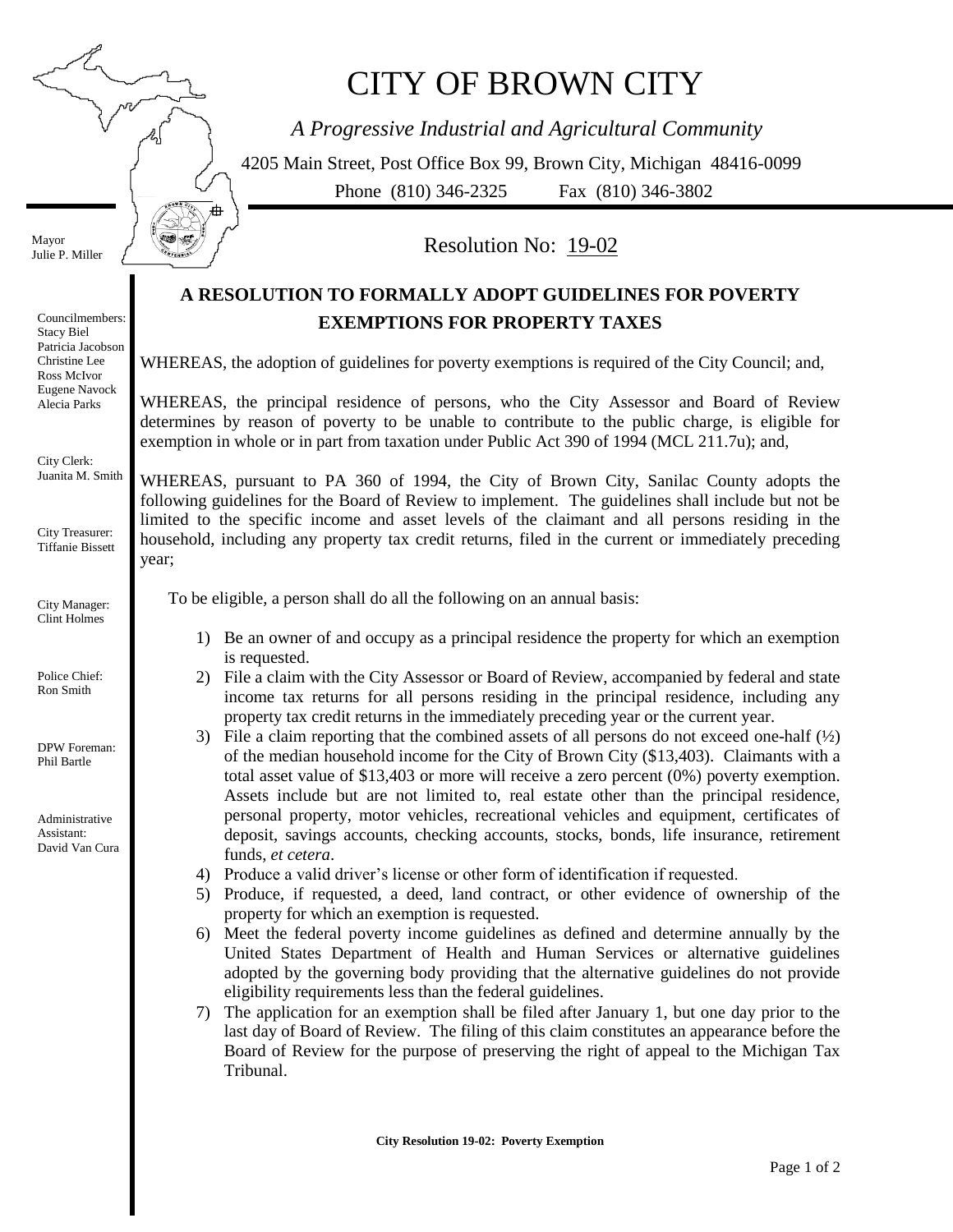S S.

A

## CITY OF BROWN CITY

*A Progressive Industrial and Agricultural Community*

4205 Main Street, Post Office Box 99, Brown City, Michigan 48416-0099 Phone (810) 346-2325 Fax (810) 346-3802

Mayor Julie P. Miller

year; Councilmembers: Stacy Biel Patricia Jacobson Christine Lee Ross McIvor Eugene Navock Alecia Parks City Clerk: Juanita M. Smith City Treasurer: Tiffanie Bissett City Manager: Clint Holmes Police Chief: Ron Smith DPW Foreman: Phil Bartle Administrative Assistant: David Van Cura

Resolution No: 19-02

## **A RESOLUTION TO FORMALLY ADOPT GUIDELINES FOR POVERTY EXEMPTIONS FOR PROPERTY TAXES**

WHEREAS, the adoption of guidelines for poverty exemptions is required of the City Council; and,

WHEREAS, the principal residence of persons, who the City Assessor and Board of Review determines by reason of poverty to be unable to contribute to the public charge, is eligible for exemption in whole or in part from taxation under Public Act 390 of 1994 (MCL 211.7u); and,

WHEREAS, pursuant to PA 360 of 1994, the City of Brown City, Sanilac County adopts the following guidelines for the Board of Review to implement. The guidelines shall include but not be limited to the specific income and asset levels of the claimant and all persons residing in the household, including any property tax credit returns, filed in the current or immediately preceding

To be eligible, a person shall do all the following on an annual basis:

- 1) Be an owner of and occupy as a principal residence the property for which an exemption is requested.
- 2) File a claim with the City Assessor or Board of Review, accompanied by federal and state income tax returns for all persons residing in the principal residence, including any property tax credit returns in the immediately preceding year or the current year.
- 3) File a claim reporting that the combined assets of all persons do not exceed one-half  $(\frac{1}{2})$ of the median household income for the City of Brown City (\$13,403). Claimants with a total asset value of \$13,403 or more will receive a zero percent (0%) poverty exemption. Assets include but are not limited to, real estate other than the principal residence, personal property, motor vehicles, recreational vehicles and equipment, certificates of deposit, savings accounts, checking accounts, stocks, bonds, life insurance, retirement funds, *et cetera*.
- 4) Produce a valid driver's license or other form of identification if requested.
- 5) Produce, if requested, a deed, land contract, or other evidence of ownership of the property for which an exemption is requested.
- 6) Meet the federal poverty income guidelines as defined and determine annually by the United States Department of Health and Human Services or alternative guidelines adopted by the governing body providing that the alternative guidelines do not provide eligibility requirements less than the federal guidelines.
- 7) The application for an exemption shall be filed after January 1, but one day prior to the last day of Board of Review. The filing of this claim constitutes an appearance before the Board of Review for the purpose of preserving the right of appeal to the Michigan Tax Tribunal.